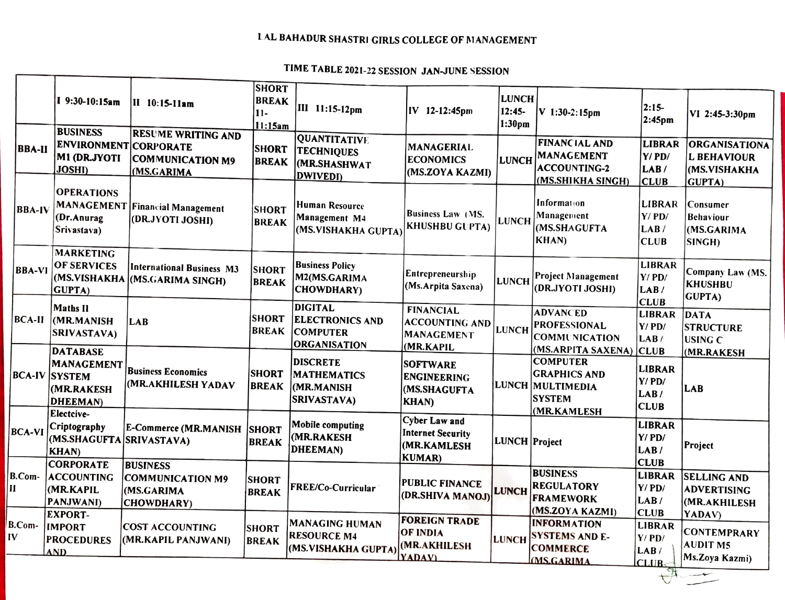## LAL BAHADUR SHASTRI GIRLS COLLEGE OF MANAGEMENT

## TIME TABLE 2021-22 SESSION JAN-JUNE SESSION

г

|                        |                                                                            |                                                                        | <b>SHORT</b>                     |                                                                                    |                                                                                  |                                    |                                                                                           |                                                           |                                                                              |
|------------------------|----------------------------------------------------------------------------|------------------------------------------------------------------------|----------------------------------|------------------------------------------------------------------------------------|----------------------------------------------------------------------------------|------------------------------------|-------------------------------------------------------------------------------------------|-----------------------------------------------------------|------------------------------------------------------------------------------|
|                        | I 9:30-10:15am                                                             | II 10:15-11am                                                          | <b>BREAK</b><br>$11-$<br>11:15am | III 11:15-12pm                                                                     | IV 12-12:45pm                                                                    | <b>LUNCH</b><br>$12:45-$<br>1:30pm | V 1:30-2:15pm                                                                             | $ 2:15-$<br>2:45 <sub>pm</sub>                            | VI 2:45-3:30pm                                                               |
| <b>BBA-II</b>          | <b>BUSINESS</b><br>ENVIRONMENT CORPORATE<br>M1 (DR.JYOTI<br><b>JOSHI</b> ) | <b>RESUME WRITING AND</b><br>COMMUNICATION M9<br>(MS.GARIMA            | <b>SHORT</b><br><b>BREAK</b>     | <b>QUANTITATIVE</b><br><b>TECHNIQUES</b><br><b>MR.SHASHWAT</b><br><b>DWIVEDI)</b>  | MANAGERIAL<br><b>ECONOMICS</b><br>(MS.ZOYA KAZMI)                                | LUNCH                              | <b>FINANCIAL AND</b><br><b>MANAGEMENT</b><br><b>ACCOUNTING-2</b><br>(MS.SHIKHA SINGH)     | LIBRAR<br>Y/PD/<br>LAB/<br><b>CLUB</b>                    | <b>ORGANISATIONA</b><br><b>L BEHAVIOUR</b><br>(MS.VISHAKHA<br><b>GUPTA</b> ) |
| <b>BBA-IV</b>          | <b>OPERATIONS</b><br>(Dr.Anurag<br>Srivastava)                             | <b>MANAGEMENT Financial Management</b><br>(DR.JYOTI JOSHI)             | <b>SHORT</b><br><b>BREAK</b>     | <b>Human Resource</b><br>Management M4<br>(MS.VISHAKHA GUPTA)                      | <b>Business Law (MS.</b><br><b>KHUSHBU GUPTA)</b>                                | <b>LUNCH</b>                       | Information<br>Management<br>(MS.SHAGUFTA<br><b>KHAN</b> )                                | <b>LIBRAR</b><br>$Y/$ PD/<br>LAB/<br><b>CLUB</b>          | Consumer<br><b>Behaviour</b><br>(MS.GARIMA<br>SINGH)                         |
| <b>BBA-VI</b>          | <b>MARKETING</b><br>OF SERVICES<br><b>GUPTA</b> )                          | International Business M3<br>(MS.VISHAKHA (MS.GARIMA SINGH)            | <b>SHORT</b><br><b>BREAK</b>     | <b>Business Policy</b><br>M2(MS.GARIMA<br><b>CHOWDHARY</b> )                       | Entrepreneurship<br>(Ms.Arpita Saxena)                                           | <b>LUNCH</b>                       | Project Management<br>(DR.JYOTI JOSHI)                                                    | <b>LIBRAR</b><br>Y/PD/<br>LAB/<br><b>CLUB</b>             | Company Law (MS.<br><b>KHUSHBU</b><br>GUPTA)                                 |
| BCA-II                 | <b>Maths II</b><br>(MR.MANISH<br>SRIVASTAVA)<br><b>DATABASE</b>            | LAB                                                                    | <b>SHORT</b><br>BREAK            | <b>DIGITAL</b><br><b>ELECTRONICS AND</b><br><b>COMPUTER</b><br><b>ORGANISATION</b> | <b>FINANCIAL</b><br><b>ACCOUNTING AND</b><br>MANAGEMENT<br>(MR.KAPIL             | LUNCH                              | <b>ADVANCED</b><br><b>PROFESSIONAL</b><br><b>COMMUNICATION</b><br>(MS.ARPITA SAXENA) CLUB | <b>LIBRAR</b><br>$Y/$ PD/<br>LAB/                         | DATA<br><b>STRUCTURE</b><br><b>USING C</b>                                   |
|                        | MANAGEMENT<br><b>BCA-IV SYSTEM</b><br>MR.RAKESH)<br><b>DHEEMAN</b> )       | <b>Business Economics</b><br>(MR.AKHILESH YADAV                        | <b>SHORT</b><br><b>BREAK</b>     | <b>DISCRETE</b><br><b>MATHEMATICS</b><br><b>MR.MANISH</b><br><b>SRIVASTAVA)</b>    | <b>SOFTWARE</b><br><b>ENGINEERING</b><br>(MS.SHAGUFTA<br><b>KHAN</b>             |                                    | <b>COMPUTER</b><br><b>GRAPHICS AND</b><br>LUNCH MULTIMEDIA<br><b>SYSTEM</b>               | <b>LIBRAR</b><br>Y/PD/<br>LAB <sub>/</sub><br><b>CLUB</b> | (MR.RAKESH<br>LAB                                                            |
| <b>BCA-VI</b>          | Electcive-<br>Criptography<br>(MS.SHAGUFTA SRIVASTAVA)<br><b>KHAN</b> )    | <b>E-Commerce (MR.MANISH</b>                                           | <b>SHORT</b><br><b>BREAK</b>     | Mobile computing<br>(MR.RAKESH<br>DHEEMAN)                                         | <b>Cyber Law and</b><br><b>Internet Security</b><br>(MR.KAMLESH<br><b>KUMAR)</b> | LUNCH Project                      | (MR.KAMLESH                                                                               | LIBRAR<br>Y/PD/<br>LAB/<br><b>CLUB</b>                    | Project                                                                      |
| B.Com-<br>$\mathbf{H}$ | <b>CORPORATE</b><br><b>ACCOUNTING</b><br>(MR.KAPIL<br>PANJWANI)            | <b>BUSINESS</b><br><b>COMMUNICATION M9</b><br>(MS.GARIMA<br>CHOWDHARY) | <b>SHORT</b><br><b>BREAK</b>     | FREE/Co-Curricular                                                                 | <b>PUBLIC FINANCE</b><br>(DR.SHIVA MANOJ)                                        | <b>LUNCH</b>                       | <b>BUSINESS</b><br><b>REGULATORY</b><br><b>FRAMEWORK</b><br>(MS.ZOYA KAZMI)               | LIBRAR<br>Y/PD/<br>LAB/<br><b>CLUB</b>                    | <b>SELLING AND</b><br><b>ADVERTISING</b><br>(MR.AKHILESH                     |
| B.Com-<br>IV           | <b>EXPORT-</b><br><b>IMPORT</b><br><b>PROCEDURES</b><br><b>AND</b>         | <b>COST ACCOUNTING</b><br>(MR.KAPIL PANJWANI)                          | <b>SHORT</b><br><b>BREAK</b>     | <b>MANAGING HUMAN</b><br><b>RESOURCE M4</b><br>(MS.VISHAKHA GUPTA)                 | <b>FOREIGN TRADE</b><br><b>OF INDIA</b><br>(MR.AKHILESH<br><b>YADAVI</b>         | <b>LUNCH</b>                       | <b>INFORMATION</b><br><b>SYSTEMS AND E-</b><br><b>COMMERCE</b><br><b>MS.GARIMA</b>        | <b>LIBRAR</b><br>Y/PD/<br>LAB/<br>CLUB <sub>s</sub>       | YADAV)<br><b>CONTEMPRARY</b><br><b>AUDIT M5</b><br>Ms.Zoya Kazmi)            |
|                        |                                                                            |                                                                        |                                  |                                                                                    |                                                                                  |                                    |                                                                                           | $\bigcup_{i=1}^{\infty}$                                  |                                                                              |